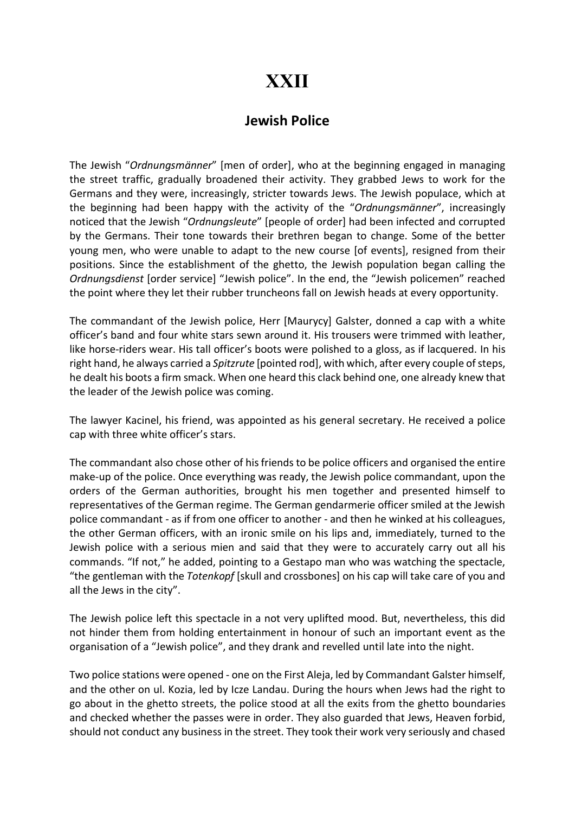## XXII

## Jewish Police

The Jewish "Ordnungsmänner" [men of order], who at the beginning engaged in managing the street traffic, gradually broadened their activity. They grabbed Jews to work for the Germans and they were, increasingly, stricter towards Jews. The Jewish populace, which at the beginning had been happy with the activity of the "Ordnungsmänner", increasingly noticed that the Jewish "Ordnungsleute" [people of order] had been infected and corrupted by the Germans. Their tone towards their brethren began to change. Some of the better young men, who were unable to adapt to the new course [of events], resigned from their positions. Since the establishment of the ghetto, the Jewish population began calling the Ordnungsdienst [order service] "Jewish police". In the end, the "Jewish policemen" reached the point where they let their rubber truncheons fall on Jewish heads at every opportunity.

The commandant of the Jewish police, Herr [Maurycy] Galster, donned a cap with a white officer's band and four white stars sewn around it. His trousers were trimmed with leather, like horse-riders wear. His tall officer's boots were polished to a gloss, as if lacquered. In his right hand, he always carried a Spitzrute [pointed rod], with which, after every couple of steps, he dealt his boots a firm smack. When one heard this clack behind one, one already knew that the leader of the Jewish police was coming.

The lawyer Kacinel, his friend, was appointed as his general secretary. He received a police cap with three white officer's stars.

The commandant also chose other of his friends to be police officers and organised the entire make-up of the police. Once everything was ready, the Jewish police commandant, upon the orders of the German authorities, brought his men together and presented himself to representatives of the German regime. The German gendarmerie officer smiled at the Jewish police commandant - as if from one officer to another - and then he winked at his colleagues, the other German officers, with an ironic smile on his lips and, immediately, turned to the Jewish police with a serious mien and said that they were to accurately carry out all his commands. "If not," he added, pointing to a Gestapo man who was watching the spectacle, "the gentleman with the Totenkopf [skull and crossbones] on his cap will take care of you and all the Jews in the city".

The Jewish police left this spectacle in a not very uplifted mood. But, nevertheless, this did not hinder them from holding entertainment in honour of such an important event as the organisation of a "Jewish police", and they drank and revelled until late into the night.

Two police stations were opened - one on the First Aleja, led by Commandant Galster himself, and the other on ul. Kozia, led by Icze Landau. During the hours when Jews had the right to go about in the ghetto streets, the police stood at all the exits from the ghetto boundaries and checked whether the passes were in order. They also guarded that Jews, Heaven forbid, should not conduct any business in the street. They took their work very seriously and chased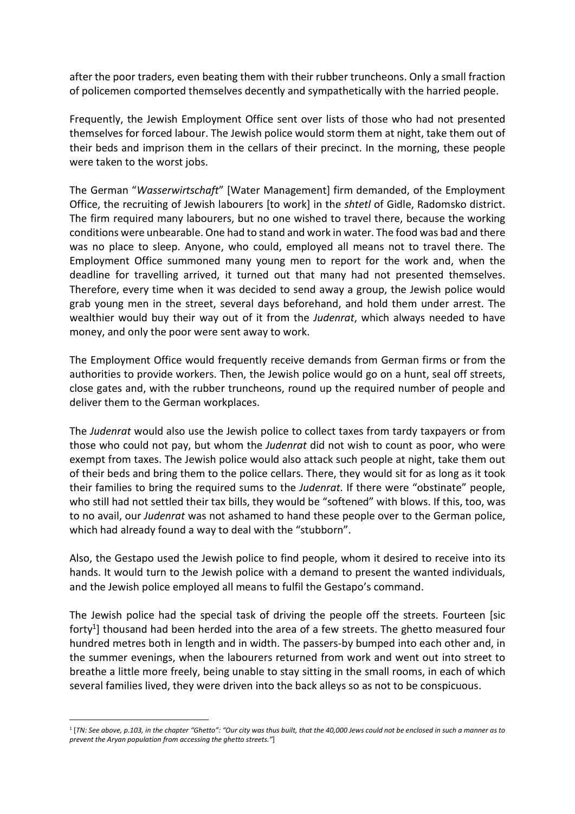after the poor traders, even beating them with their rubber truncheons. Only a small fraction of policemen comported themselves decently and sympathetically with the harried people.

Frequently, the Jewish Employment Office sent over lists of those who had not presented themselves for forced labour. The Jewish police would storm them at night, take them out of their beds and imprison them in the cellars of their precinct. In the morning, these people were taken to the worst jobs.

The German "Wasserwirtschaft" [Water Management] firm demanded, of the Employment Office, the recruiting of Jewish labourers [to work] in the shtetl of Gidle, Radomsko district. The firm required many labourers, but no one wished to travel there, because the working conditions were unbearable. One had to stand and work in water. The food was bad and there was no place to sleep. Anyone, who could, employed all means not to travel there. The Employment Office summoned many young men to report for the work and, when the deadline for travelling arrived, it turned out that many had not presented themselves. Therefore, every time when it was decided to send away a group, the Jewish police would grab young men in the street, several days beforehand, and hold them under arrest. The wealthier would buy their way out of it from the Judenrat, which always needed to have money, and only the poor were sent away to work.

The Employment Office would frequently receive demands from German firms or from the authorities to provide workers. Then, the Jewish police would go on a hunt, seal off streets, close gates and, with the rubber truncheons, round up the required number of people and deliver them to the German workplaces.

The Judenrat would also use the Jewish police to collect taxes from tardy taxpayers or from those who could not pay, but whom the Judenrat did not wish to count as poor, who were exempt from taxes. The Jewish police would also attack such people at night, take them out of their beds and bring them to the police cellars. There, they would sit for as long as it took their families to bring the required sums to the Judenrat. If there were "obstinate" people, who still had not settled their tax bills, they would be "softened" with blows. If this, too, was to no avail, our Judenrat was not ashamed to hand these people over to the German police, which had already found a way to deal with the "stubborn".

Also, the Gestapo used the Jewish police to find people, whom it desired to receive into its hands. It would turn to the Jewish police with a demand to present the wanted individuals, and the Jewish police employed all means to fulfil the Gestapo's command.

The Jewish police had the special task of driving the people off the streets. Fourteen [sic forty<sup>1</sup>] thousand had been herded into the area of a few streets. The ghetto measured four hundred metres both in length and in width. The passers-by bumped into each other and, in the summer evenings, when the labourers returned from work and went out into street to breathe a little more freely, being unable to stay sitting in the small rooms, in each of which several families lived, they were driven into the back alleys so as not to be conspicuous.

<sup>1</sup> [TN: See above, p.103, in the chapter "Ghetto": "Our city was thus built, that the 40,000 Jews could not be enclosed in such a manner as to prevent the Aryan population from accessing the ghetto streets."]